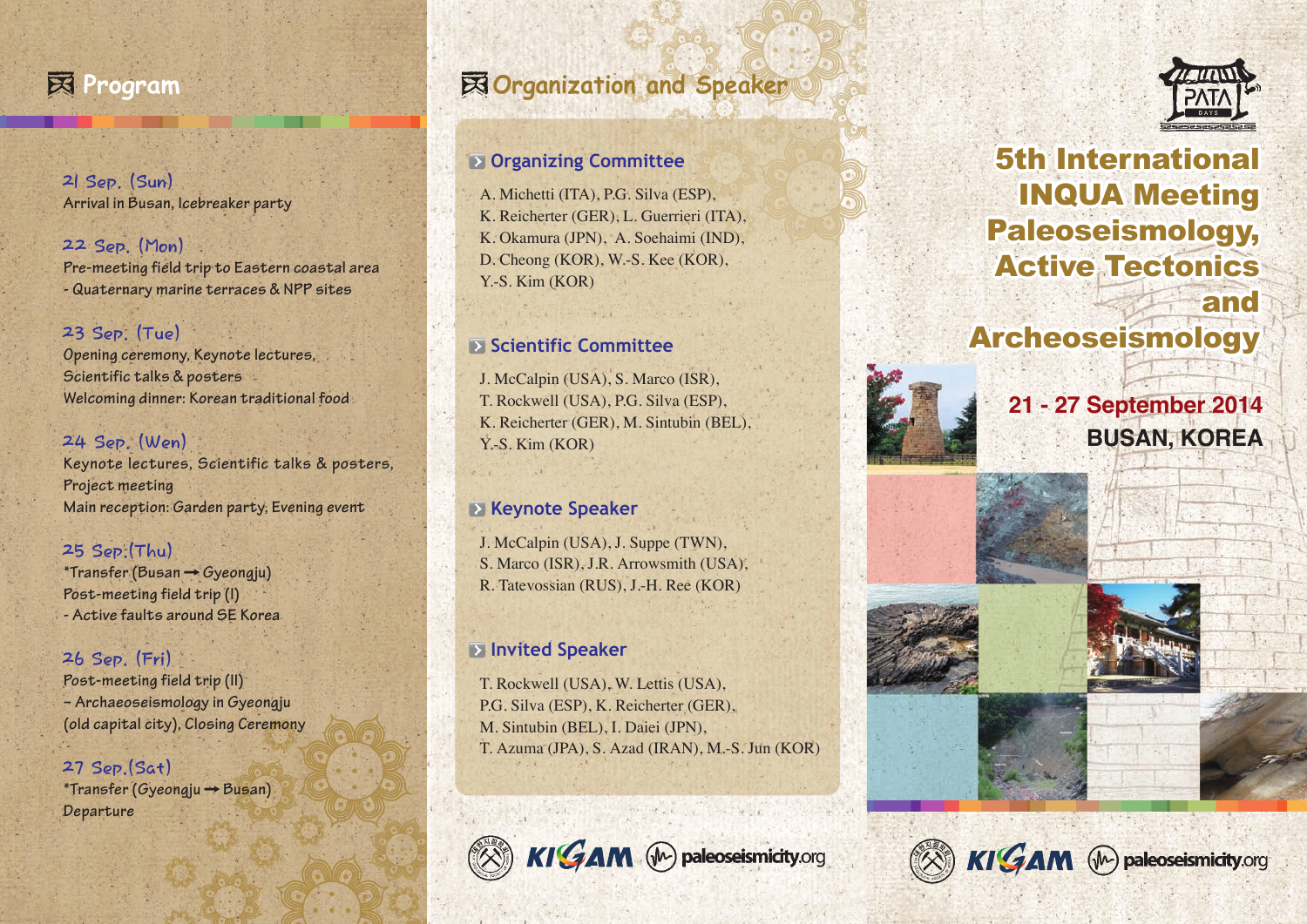

**21 Sep. (Sun) Arrival in Busan, Icebreaker party**

**22 Sep. (Mon) Pre-meeting field trip to Eastern coastal area - Quaternary marine terraces & NPP sites**

#### **23 Sep. (Tue)**

**Opening ceremony, Keynote lectures, Scientific talks & posters Welcoming dinner: Korean traditional food**

#### **24 Sep. (Wen)**

**Keynote lectures, Scientific talks & posters, Project meeting Main reception: Garden party, Evening event**

#### **25 Sep.(Thu)**

**\*Transfer (Busan Gyeongju) Post-meeting field trip (I) - Active faults around SE Korea**

#### **26 Sep. (Fri)**

**Post-meeting field trip (II) – Archaeoseismology in Gyeongju (old capital city), Closing Ceremony**

**27 Sep.(Sat) \*Transfer (Gyeongju Busan) Departure**

# **Program Organization and Speaker**

#### **Organizing Committee**

A. Michetti (ITA), P.G. Silva (ESP), K. Reicherter (GER), L. Guerrieri (ITA), K. Okamura (JPN), A. Soehaimi (IND), D. Cheong (KOR), W.-S. Kee (KOR), Y.-S. Kim (KOR)

#### **Scientific Committee**

J. McCalpin (USA), S. Marco (ISR), T. Rockwell (USA), P.G. Silva (ESP), K. Reicherter (GER), M. Sintubin (BEL), Y.-S. Kim (KOR)

#### **Keynote Speaker**

J. McCalpin (USA), J. Suppe (TWN), S. Marco (ISR), J.R. Arrowsmith (USA), R. Tatevossian (RUS), J.-H. Ree (KOR)

#### **Invited Speaker**

T. Rockwell (USA), W. Lettis (USA), P.G. Silva (ESP), K. Reicherter (GER), M. Sintubin (BEL), I. Daiei (JPN), T. Azuma (JPA), S. Azad (IRAN), M.-S. Jun (KOR)



KIGAM (M) paleoseismicity.org



### 5th International 5th International 5th International 5th International 5th International 5th International 5th International INQUA Meeting 5th Meeting INQUA Meeting INQUA Meeting INQUA Meeting 5th Meeting INQUA Meeting INQUA Meeting Meeting INQUA Meeting Meeting Meeting INQUA Meeting 5th International<br>
INQUA Meeting<br>
Paleoseismology,<br>
Active Tectonics<br>
and Active Tectonics Active Tectonics Active Tectonics Active Tectonics Active Tectonics Active Tectonics Tectonics Active Tectonics Active Tectonics Active Tectonics Active Tectonics Active Tectonics Active Tectonics and and and and and and and and and and and 5th International<br>
INQUA Meeting<br>
Paleoseismology,<br>
Active Tectonics<br>
and<br>
Archeoseismology Paleoseismology,<br>Active Tectonics<br>and 5th International<br>INQUA Meeting<br>Paleoseismology,<br>Active Tectonics<br>and Paleoseismology, Paleoseismology,



**21 - 27 September 2014 BUSAN, KOREA**